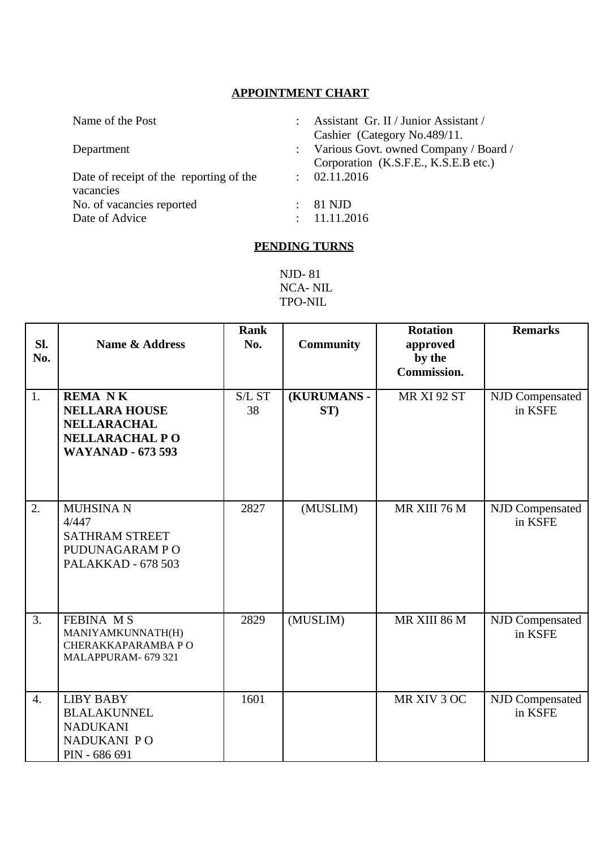## **APPOINTMENT CHART**

| Name of the Post                                     |               | Assistant Gr. II / Junior Assistant /<br>Cashier (Category No.489/11.           |
|------------------------------------------------------|---------------|---------------------------------------------------------------------------------|
| Department                                           |               | : Various Govt. owned Company / Board /<br>Corporation (K.S.F.E., K.S.E.B etc.) |
| Date of receipt of the reporting of the<br>vacancies | $\mathcal{L}$ | 02.11.2016                                                                      |
| No. of vacancies reported<br>Date of Advice          |               | 81 NJD<br>11.11.2016                                                            |

## **PENDING TURNS**

NJD- 81 NCA- NIL TPO-NIL

| SI.<br>No. | <b>Name &amp; Address</b>                                                                                        | <b>Rank</b><br>No. | <b>Community</b>   | <b>Rotation</b><br>approved<br>by the<br>Commission. | <b>Remarks</b>             |
|------------|------------------------------------------------------------------------------------------------------------------|--------------------|--------------------|------------------------------------------------------|----------------------------|
| 1.         | <b>REMANK</b><br><b>NELLARA HOUSE</b><br><b>NELLARACHAL</b><br><b>NELLARACHAL PO</b><br><b>WAYANAD - 673 593</b> | S/L ST<br>38       | (KURUMANS -<br>ST) | <b>MR XI 92 ST</b>                                   | NJD Compensated<br>in KSFE |
| 2.         | <b>MUHSINAN</b><br>4/447<br><b>SATHRAM STREET</b><br>PUDUNAGARAM PO<br><b>PALAKKAD - 678 503</b>                 | 2827               | (MUSLIM)           | MR XIII 76 M                                         | NJD Compensated<br>in KSFE |
| 3.         | <b>FEBINA MS</b><br>MANIYAMKUNNATH(H)<br>CHERAKKAPARAMBA PO<br>MALAPPURAM- 679 321                               | 2829               | (MUSLIM)           | MR XIII 86 M                                         | NJD Compensated<br>in KSFE |
| 4.         | <b>LIBY BABY</b><br><b>BLALAKUNNEL</b><br><b>NADUKANI</b><br>NADUKANI PO<br>PIN - 686 691                        | 1601               |                    | MR XIV 3 OC                                          | NJD Compensated<br>in KSFE |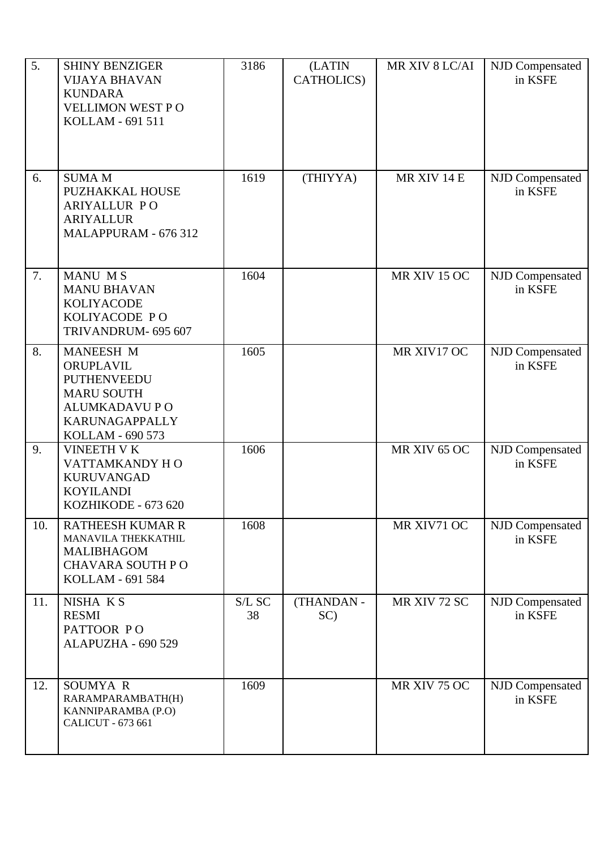| 5.  | <b>SHINY BENZIGER</b><br><b>VIJAYA BHAVAN</b><br><b>KUNDARA</b><br>VELLIMON WEST PO<br>KOLLAM - 691 511                                | 3186         | (LATIN<br>CATHOLICS) | MR XIV 8 LC/AI | NJD Compensated<br>in KSFE |
|-----|----------------------------------------------------------------------------------------------------------------------------------------|--------------|----------------------|----------------|----------------------------|
| 6.  | <b>SUMA M</b><br>PUZHAKKAL HOUSE<br><b>ARIYALLUR PO</b><br><b>ARIYALLUR</b><br>MALAPPURAM - 676 312                                    | 1619         | (THIYYA)             | MR XIV 14 E    | NJD Compensated<br>in KSFE |
| 7.  | <b>MANU MS</b><br><b>MANU BHAVAN</b><br><b>KOLIYACODE</b><br>KOLIYACODE PO<br>TRIVANDRUM- 695 607                                      | 1604         |                      | MR XIV 15 OC   | NJD Compensated<br>in KSFE |
| 8.  | MANEESH M<br>ORUPLAVIL<br><b>PUTHENVEEDU</b><br><b>MARU SOUTH</b><br><b>ALUMKADAVU PO</b><br><b>KARUNAGAPPALLY</b><br>KOLLAM - 690 573 | 1605         |                      | MR XIV17 OC    | NJD Compensated<br>in KSFE |
| 9.  | <b>VINEETH V K</b><br>VATTAMKANDY HO<br><b>KURUVANGAD</b><br><b>KOYILANDI</b><br>KOZHIKODE - 673 620                                   | 1606         |                      | MR XIV 65 OC   | NJD Compensated<br>in KSFE |
| 10. | <b>RATHEESH KUMAR R</b><br>MANAVILA THEKKATHIL<br><b>MALIBHAGOM</b><br><b>CHAVARA SOUTH PO</b><br>KOLLAM - 691 584                     | 1608         |                      | MR XIV71 OC    | NJD Compensated<br>in KSFE |
| 11. | NISHA KS<br><b>RESMI</b><br>PATTOOR PO<br>ALAPUZHA - 690 529                                                                           | S/L SC<br>38 | (THANDAN -<br>SC)    | MR XIV 72 SC   | NJD Compensated<br>in KSFE |
| 12. | SOUMYA R<br>RARAMPARAMBATH(H)<br>KANNIPARAMBA (P.O)<br>CALICUT - 673 661                                                               | 1609         |                      | MR XIV 75 OC   | NJD Compensated<br>in KSFE |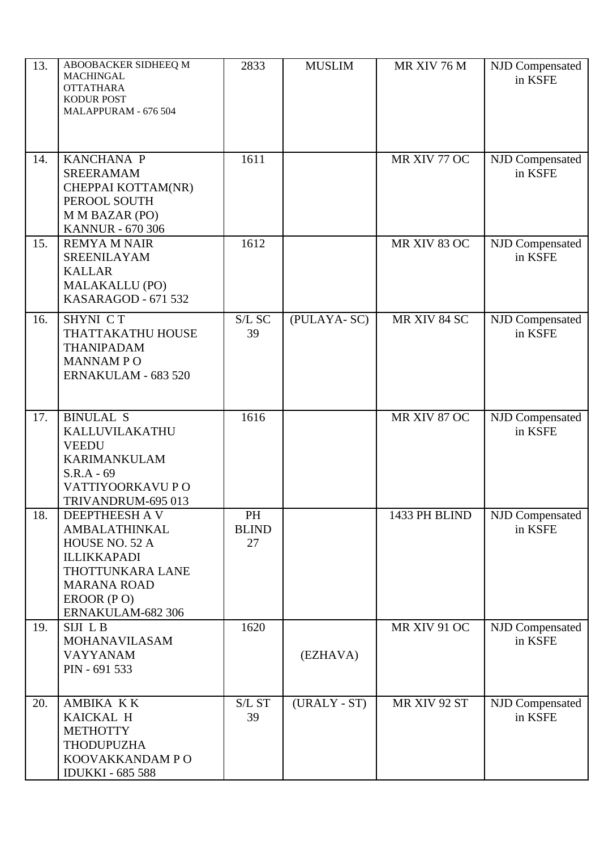| 13. | ABOOBACKER SIDHEEQ M<br><b>MACHINGAL</b><br><b>OTTATHARA</b><br>KODUR POST<br>MALAPPURAM - 676 504                                                   | 2833                     | <b>MUSLIM</b> | MR XIV 76 M   | NJD Compensated<br>in KSFE |
|-----|------------------------------------------------------------------------------------------------------------------------------------------------------|--------------------------|---------------|---------------|----------------------------|
| 14. | KANCHANA P<br><b>SREERAMAM</b><br>CHEPPAI KOTTAM(NR)<br>PEROOL SOUTH<br>M M BAZAR (PO)<br><b>KANNUR - 670 306</b>                                    | 1611                     |               | MR XIV 77 OC  | NJD Compensated<br>in KSFE |
| 15. | <b>REMYA M NAIR</b><br><b>SREENILAYAM</b><br><b>KALLAR</b><br><b>MALAKALLU (PO)</b><br>KASARAGOD - 671 532                                           | 1612                     |               | MR XIV 83 OC  | NJD Compensated<br>in KSFE |
| 16. | SHYNI CT<br>THATTAKATHU HOUSE<br><b>THANIPADAM</b><br><b>MANNAMPO</b><br>ERNAKULAM - 683 520                                                         | S/L SC<br>39             | (PULAYA-SC)   | MR XIV 84 SC  | NJD Compensated<br>in KSFE |
| 17. | <b>BINULAL S</b><br>KALLUVILAKATHU<br><b>VEEDU</b><br><b>KARIMANKULAM</b><br>$S.R.A - 69$<br>VATTIYOORKAVU P O<br>TRIVANDRUM-695 013                 | 1616                     |               | MR XIV 87 OC  | NJD Compensated<br>in KSFE |
| 18. | DEEPTHEESH A V<br>AMBALATHINKAL<br>HOUSE NO. 52 A<br><b>ILLIKKAPADI</b><br>THOTTUNKARA LANE<br><b>MARANA ROAD</b><br>EROOR (PO)<br>ERNAKULAM-682 306 | PH<br><b>BLIND</b><br>27 |               | 1433 PH BLIND | NJD Compensated<br>in KSFE |
| 19. | SIJI LB<br><b>MOHANAVILASAM</b><br><b>VAYYANAM</b><br>PIN - 691 533                                                                                  | 1620                     | (EZHAVA)      | MR XIV 91 OC  | NJD Compensated<br>in KSFE |
| 20. | AMBIKA KK<br>KAICKAL H<br><b>METHOTTY</b><br><b>THODUPUZHA</b><br>KOOVAKKANDAM PO<br><b>IDUKKI - 685 588</b>                                         | S/L ST<br>39             | (URALY - ST)  | MR XIV 92 ST  | NJD Compensated<br>in KSFE |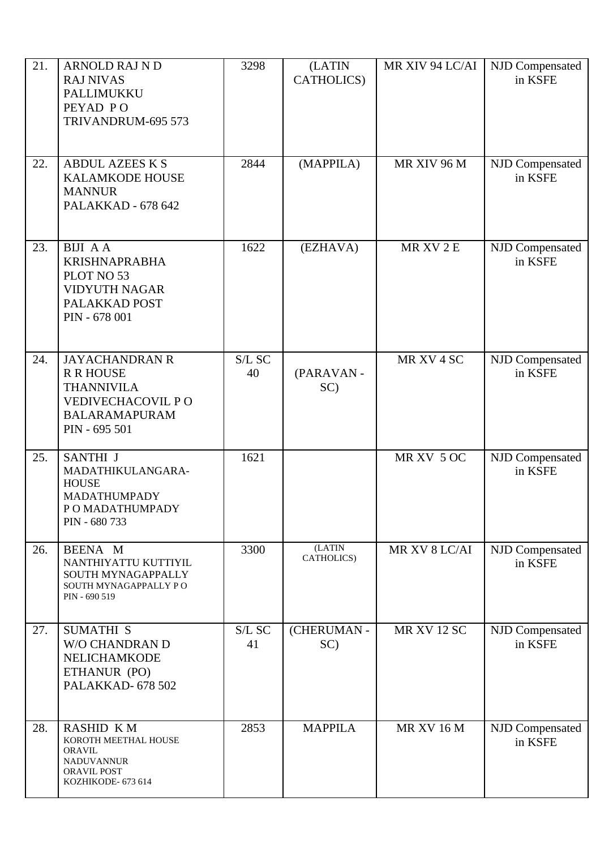| 21. | <b>ARNOLD RAJ N D</b><br><b>RAJ NIVAS</b><br>PALLIMUKKU<br>PEYAD PO<br>TRIVANDRUM-695 573                                    | 3298         | (LATIN<br>CATHOLICS)  | MR XIV 94 LC/AI    | NJD Compensated<br>in KSFE |
|-----|------------------------------------------------------------------------------------------------------------------------------|--------------|-----------------------|--------------------|----------------------------|
| 22. | <b>ABDUL AZEES K S</b><br><b>KALAMKODE HOUSE</b><br><b>MANNUR</b><br>PALAKKAD - 678 642                                      | 2844         | (MAPPILA)             | MR XIV 96 M        | NJD Compensated<br>in KSFE |
| 23. | <b>BIJI AA</b><br><b>KRISHNAPRABHA</b><br>PLOT NO 53<br><b>VIDYUTH NAGAR</b><br>PALAKKAD POST<br>PIN - 678 001               | 1622         | (EZHAVA)              | MR XV 2 E          | NJD Compensated<br>in KSFE |
| 24. | <b>JAYACHANDRAN R</b><br><b>R R HOUSE</b><br><b>THANNIVILA</b><br>VEDIVECHACOVIL PO<br><b>BALARAMAPURAM</b><br>PIN - 695 501 | S/L SC<br>40 | (PARAVAN-<br>SC)      | MR XV 4 SC         | NJD Compensated<br>in KSFE |
| 25. | SANTHI J<br>MADATHIKULANGARA-<br><b>HOUSE</b><br>MADATHUMPADY<br>P O MADATHUMPADY<br>PIN - 680 733                           | 1621         |                       | MR XV 5 OC         | NJD Compensated<br>in KSFE |
| 26. | BEENA M<br>NANTHIYATTU KUTTIYIL<br>SOUTH MYNAGAPPALLY<br>SOUTH MYNAGAPPALLY PO<br>PIN - 690 519                              | 3300         | (LATIN)<br>CATHOLICS) | MR XV 8 LC/AI      | NJD Compensated<br>in KSFE |
| 27. | <b>SUMATHI S</b><br><b>W/O CHANDRAN D</b><br>NELICHAMKODE<br>ETHANUR (PO)<br>PALAKKAD- 678 502                               | S/L SC<br>41 | (CHERUMAN -<br>SC)    | <b>MR XV 12 SC</b> | NJD Compensated<br>in KSFE |
| 28. | <b>RASHID KM</b><br>KOROTH MEETHAL HOUSE<br><b>ORAVIL</b><br><b>NADUVANNUR</b><br><b>ORAVIL POST</b><br>KOZHIKODE- 673 614   | 2853         | <b>MAPPILA</b>        | <b>MR XV 16 M</b>  | NJD Compensated<br>in KSFE |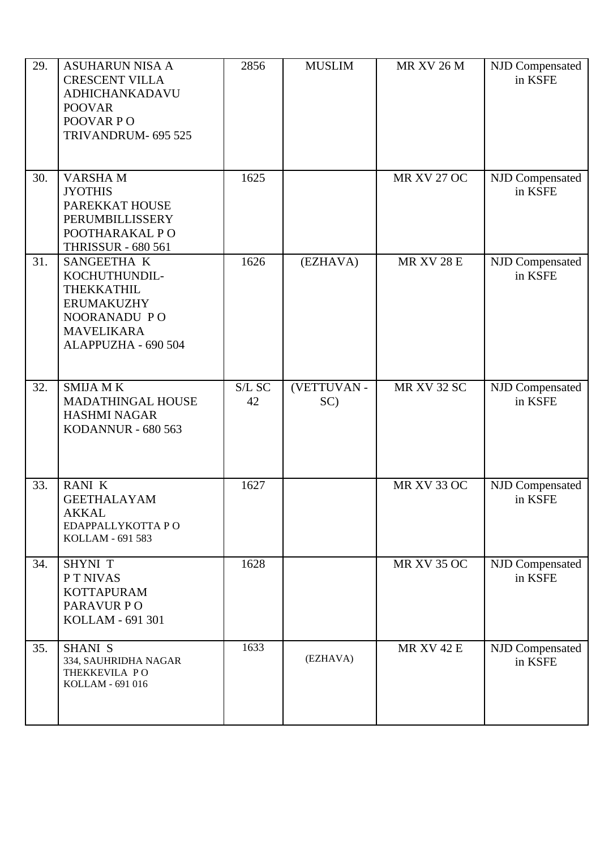| 29. | <b>ASUHARUN NISA A</b><br><b>CRESCENT VILLA</b><br>ADHICHANKADAVU<br><b>POOVAR</b><br>POOVAR PO<br>TRIVANDRUM- 695 525      | 2856         | <b>MUSLIM</b>      | <b>MR XV 26 M</b>  | NJD Compensated<br>in KSFE |
|-----|-----------------------------------------------------------------------------------------------------------------------------|--------------|--------------------|--------------------|----------------------------|
| 30. | <b>VARSHAM</b><br><b>JYOTHIS</b><br>PAREKKAT HOUSE<br>PERUMBILLISSERY<br>POOTHARAKAL PO<br><b>THRISSUR - 680 561</b>        | 1625         |                    | <b>MR XV 27 OC</b> | NJD Compensated<br>in KSFE |
| 31. | SANGEETHA K<br>KOCHUTHUNDIL-<br>THEKKATHIL<br><b>ERUMAKUZHY</b><br>NOORANADU PO<br><b>MAVELIKARA</b><br>ALAPPUZHA - 690 504 | 1626         | (EZHAVA)           | <b>MR XV 28 E</b>  | NJD Compensated<br>in KSFE |
| 32. | <b>SMIJA MK</b><br>MADATHINGAL HOUSE<br><b>HASHMI NAGAR</b><br><b>KODANNUR - 680 563</b>                                    | S/L SC<br>42 | (VETTUVAN -<br>SC) | <b>MR XV 32 SC</b> | NJD Compensated<br>in KSFE |
| 33. | <b>RANIK</b><br><b>GEETHALAYAM</b><br><b>AKKAL</b><br>EDAPPALLYKOTTA PO<br>KOLLAM - 691 583                                 | 1627         |                    | <b>MR XV 33 OC</b> | NJD Compensated<br>in KSFE |
| 34. | <b>SHYNI T</b><br>P T NIVAS<br><b>KOTTAPURAM</b><br>PARAVUR PO<br>KOLLAM - 691 301                                          | 1628         |                    | <b>MR XV 35 OC</b> | NJD Compensated<br>in KSFE |
| 35. | <b>SHANI S</b><br>334, SAUHRIDHA NAGAR<br>THEKKEVILA PO<br>KOLLAM - 691 016                                                 | 1633         | (EZHAVA)           | <b>MR XV 42 E</b>  | NJD Compensated<br>in KSFE |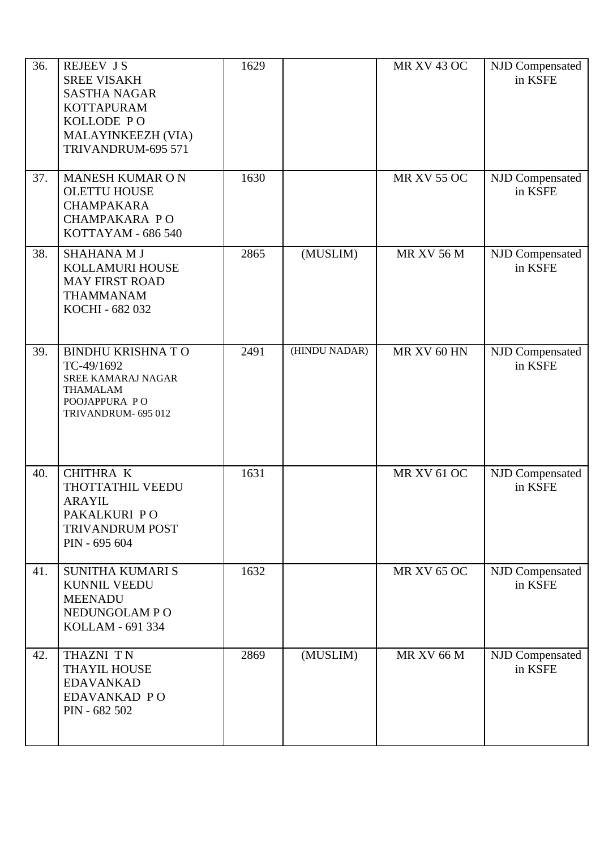| 36. | <b>REJEEV JS</b><br><b>SREE VISAKH</b><br><b>SASTHA NAGAR</b><br><b>KOTTAPURAM</b><br>KOLLODE PO<br>MALAYINKEEZH (VIA)<br>TRIVANDRUM-695 571 | 1629 |               | <b>MR XV 43 OC</b> | NJD Compensated<br>in KSFE |
|-----|----------------------------------------------------------------------------------------------------------------------------------------------|------|---------------|--------------------|----------------------------|
| 37. | <b>MANESH KUMAR ON</b><br><b>OLETTU HOUSE</b><br><b>CHAMPAKARA</b><br>CHAMPAKARA PO<br>KOTTAYAM - 686 540                                    | 1630 |               | <b>MR XV 55 OC</b> | NJD Compensated<br>in KSFE |
| 38. | <b>SHAHANA M J</b><br>KOLLAMURI HOUSE<br><b>MAY FIRST ROAD</b><br><b>THAMMANAM</b><br>KOCHI - 682 032                                        | 2865 | (MUSLIM)      | <b>MR XV 56 M</b>  | NJD Compensated<br>in KSFE |
| 39. | <b>BINDHU KRISHNA TO</b><br>TC-49/1692<br><b>SREE KAMARAJ NAGAR</b><br><b>THAMALAM</b><br>POOJAPPURA PO<br>TRIVANDRUM- 695 012               | 2491 | (HINDU NADAR) | MR XV 60 HN        | NJD Compensated<br>in KSFE |
| 40. | <b>CHITHRA K</b><br>THOTTATHIL VEEDU<br><b>ARAYIL</b><br>PAKALKURI PO<br><b>TRIVANDRUM POST</b><br>PIN - 695 604                             | 1631 |               | <b>MR XV 61 OC</b> | NJD Compensated<br>in KSFE |
| 41. | <b>SUNITHA KUMARI S</b><br><b>KUNNIL VEEDU</b><br><b>MEENADU</b><br>NEDUNGOLAM PO<br>KOLLAM - 691 334                                        | 1632 |               | <b>MR XV 65 OC</b> | NJD Compensated<br>in KSFE |
| 42. | THAZNI TN<br>THAYIL HOUSE<br><b>EDAVANKAD</b><br>EDAVANKAD PO<br>PIN - 682 502                                                               | 2869 | (MUSLIM)      | <b>MR XV 66 M</b>  | NJD Compensated<br>in KSFE |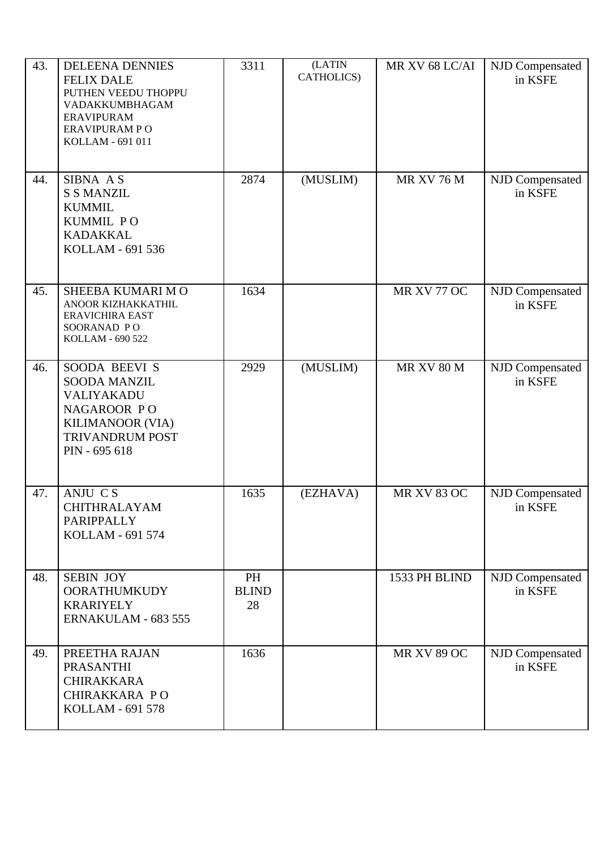| 43. | <b>DELEENA DENNIES</b><br><b>FELIX DALE</b><br>PUTHEN VEEDU THOPPU<br>VADAKKUMBHAGAM<br><b>ERAVIPURAM</b><br>ERAVIPURAM PO<br>KOLLAM - 691 011 | 3311                     | (LATIN<br>CATHOLICS) | MR XV 68 LC/AI     | NJD Compensated<br>in KSFE |
|-----|------------------------------------------------------------------------------------------------------------------------------------------------|--------------------------|----------------------|--------------------|----------------------------|
| 44. | SIBNA AS<br><b>S S MANZIL</b><br><b>KUMMIL</b><br>KUMMIL PO<br><b>KADAKKAL</b><br>KOLLAM - 691 536                                             | 2874                     | (MUSLIM)             | <b>MR XV 76 M</b>  | NJD Compensated<br>in KSFE |
| 45. | SHEEBA KUMARI MO<br>ANOOR KIZHAKKATHIL<br><b>ERAVICHIRA EAST</b><br>SOORANAD PO<br>KOLLAM - 690 522                                            | 1634                     |                      | MR XV 77 OC        | NJD Compensated<br>in KSFE |
| 46. | SOODA BEEVI S<br><b>SOODA MANZIL</b><br>VALIYAKADU<br>NAGAROOR PO<br>KILIMANOOR (VIA)<br><b>TRIVANDRUM POST</b><br>PIN - 695 618               | 2929                     | (MUSLIM)             | <b>MR XV 80 M</b>  | NJD Compensated<br>in KSFE |
| 47. | ANJU CS<br>CHITHRALAYAM<br>PARIPPALLY<br>KOLLAM - 691 574                                                                                      | 1635                     | (EZHAVA)             | <b>MR XV 83 OC</b> | NJD Compensated<br>in KSFE |
| 48. | <b>SEBIN JOY</b><br><b>OORATHUMKUDY</b><br><b>KRARIYELY</b><br>ERNAKULAM - 683 555                                                             | PH<br><b>BLIND</b><br>28 |                      | 1533 PH BLIND      | NJD Compensated<br>in KSFE |
| 49. | PREETHA RAJAN<br>PRASANTHI<br><b>CHIRAKKARA</b><br>CHIRAKKARA PO<br>KOLLAM - 691 578                                                           | 1636                     |                      | <b>MR XV 89 OC</b> | NJD Compensated<br>in KSFE |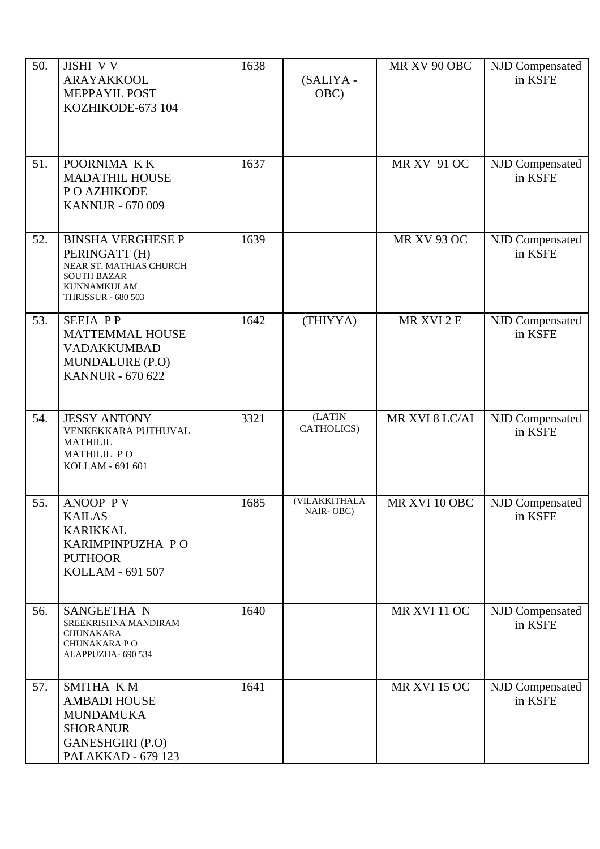| 50. | JISHI VV<br>ARAYAKKOOL<br>MEPPAYIL POST<br>KOZHIKODE-673 104                                                                                  | 1638 | (SALIYA -<br>OBC)          | MR XV 90 OBC        | NJD Compensated<br>in KSFE |
|-----|-----------------------------------------------------------------------------------------------------------------------------------------------|------|----------------------------|---------------------|----------------------------|
| 51. | POORNIMA KK<br><b>MADATHIL HOUSE</b><br>P O AZHIKODE<br><b>KANNUR - 670 009</b>                                                               | 1637 |                            | <b>MR XV 91 OC</b>  | NJD Compensated<br>in KSFE |
| 52. | <b>BINSHA VERGHESE P</b><br>PERINGATT (H)<br>NEAR ST. MATHIAS CHURCH<br><b>SOUTH BAZAR</b><br><b>KUNNAMKULAM</b><br><b>THRISSUR - 680 503</b> | 1639 |                            | <b>MR XV 93 OC</b>  | NJD Compensated<br>in KSFE |
| 53. | <b>SEEJA PP</b><br><b>MATTEMMAL HOUSE</b><br><b>VADAKKUMBAD</b><br>MUNDALURE (P.O)<br><b>KANNUR - 670 622</b>                                 | 1642 | (THIYYA)                   | MR XVI 2 E          | NJD Compensated<br>in KSFE |
| 54. | <b>JESSY ANTONY</b><br>VENKEKKARA PUTHUVAL<br><b>MATHILIL</b><br>MATHILIL PO<br>KOLLAM - 691 601                                              | 3321 | (LATIN<br>CATHOLICS)       | MR XVI 8 LC/AI      | NJD Compensated<br>in KSFE |
| 55. | ANOOP PV<br><b>KAILAS</b><br><b>KARIKKAL</b><br>KARIMPINPUZHA PO<br><b>PUTHOOR</b><br>KOLLAM - 691 507                                        | 1685 | (VILAKKITHALA<br>NAIR-OBC) | MR XVI 10 OBC       | NJD Compensated<br>in KSFE |
| 56. | SANGEETHA N<br>SREEKRISHNA MANDIRAM<br><b>CHUNAKARA</b><br>CHUNAKARA PO<br>ALAPPUZHA- 690 534                                                 | 1640 |                            | MR XVI 11 OC        | NJD Compensated<br>in KSFE |
| 57. | SMITHA KM<br><b>AMBADI HOUSE</b><br><b>MUNDAMUKA</b><br><b>SHORANUR</b><br>GANESHGIRI (P.O)<br>PALAKKAD - 679 123                             | 1641 |                            | <b>MR XVI 15 OC</b> | NJD Compensated<br>in KSFE |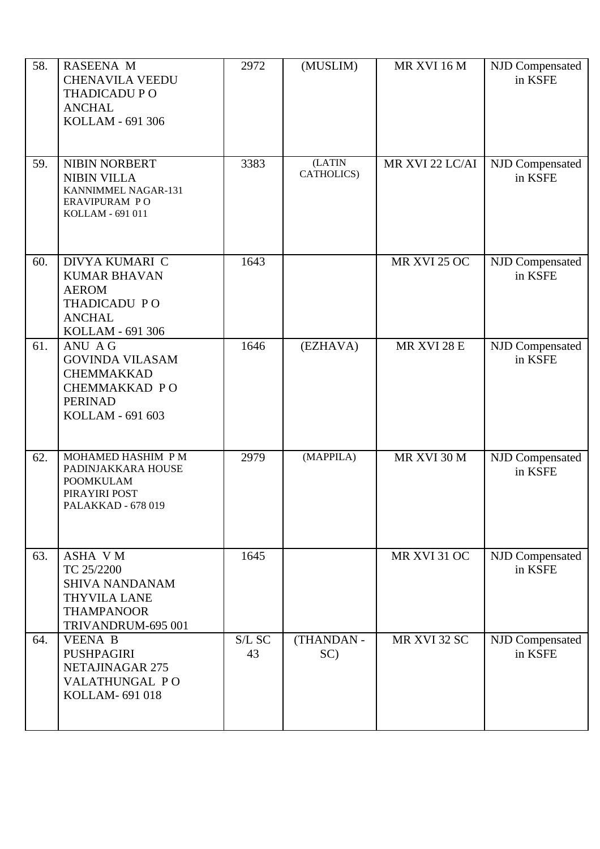| 58. | <b>RASEENA M</b><br><b>CHENAVILA VEEDU</b><br><b>THADICADU PO</b><br><b>ANCHAL</b><br>KOLLAM - 691 306                  | 2972         | (MUSLIM)             | MR XVI 16 M     | NJD Compensated<br>in KSFE |
|-----|-------------------------------------------------------------------------------------------------------------------------|--------------|----------------------|-----------------|----------------------------|
| 59. | NIBIN NORBERT<br><b>NIBIN VILLA</b><br>KANNIMMEL NAGAR-131<br>ERAVIPURAM PO<br>KOLLAM - 691 011                         | 3383         | (LATIN<br>CATHOLICS) | MR XVI 22 LC/AI | NJD Compensated<br>in KSFE |
| 60. | DIVYA KUMARI C<br><b>KUMAR BHAVAN</b><br><b>AEROM</b><br>THADICADU PO<br><b>ANCHAL</b><br>KOLLAM - 691 306              | 1643         |                      | MR XVI 25 OC    | NJD Compensated<br>in KSFE |
| 61. | ANU AG<br><b>GOVINDA VILASAM</b><br><b>CHEMMAKKAD</b><br>CHEMMAKKAD PO<br><b>PERINAD</b><br>KOLLAM - 691 603            | 1646         | (EZHAVA)             | MR XVI 28 E     | NJD Compensated<br>in KSFE |
| 62. | MOHAMED HASHIM P M<br>PADINJAKKARA HOUSE<br><b>POOMKULAM</b><br>PIRAYIRI POST<br>PALAKKAD - 678 019                     | 2979         | (MAPPILA)            | MR XVI 30 M     | NJD Compensated<br>in KSFE |
| 63. | <b>ASHA VM</b><br>TC 25/2200<br><b>SHIVA NANDANAM</b><br><b>THYVILA LANE</b><br><b>THAMPANOOR</b><br>TRIVANDRUM-695 001 | 1645         |                      | MR XVI 31 OC    | NJD Compensated<br>in KSFE |
| 64. | <b>VEENA B</b><br>PUSHPAGIRI<br>NETAJINAGAR 275<br>VALATHUNGAL PO<br>KOLLAM-691018                                      | S/L SC<br>43 | (THANDAN -<br>SC)    | MR XVI 32 SC    | NJD Compensated<br>in KSFE |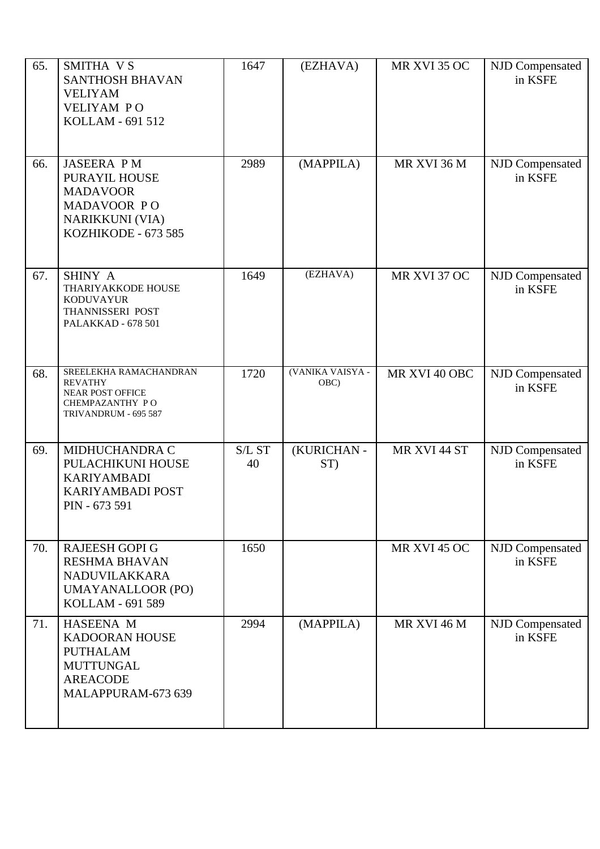| 65. | SMITHA VS<br><b>SANTHOSH BHAVAN</b><br><b>VELIYAM</b><br><b>VELIYAM PO</b><br>KOLLAM - 691 512                        | 1647         | (EZHAVA)                 | MR XVI 35 OC       | NJD Compensated<br>in KSFE |
|-----|-----------------------------------------------------------------------------------------------------------------------|--------------|--------------------------|--------------------|----------------------------|
| 66. | <b>JASEERA PM</b><br>PURAYIL HOUSE<br><b>MADAVOOR</b><br>MADAVOOR PO<br><b>NARIKKUNI (VIA)</b><br>KOZHIKODE - 673 585 | 2989         | (MAPPILA)                | MR XVI 36 M        | NJD Compensated<br>in KSFE |
| 67. | SHINY A<br>THARIYAKKODE HOUSE<br><b>KODUVAYUR</b><br>THANNISSERI POST<br>PALAKKAD - 678 501                           | 1649         | (EZHAVA)                 | MR XVI 37 OC       | NJD Compensated<br>in KSFE |
| 68. | SREELEKHA RAMACHANDRAN<br><b>REVATHY</b><br><b>NEAR POST OFFICE</b><br>CHEMPAZANTHY PO<br>TRIVANDRUM - 695 587        | 1720         | (VANIKA VAISYA -<br>OBC) | MR XVI 40 OBC      | NJD Compensated<br>in KSFE |
| 69. | MIDHUCHANDRA C<br>PULACHIKUNI HOUSE<br><b>KARIYAMBADI</b><br>KARIYAMBADI POST<br>PIN - 673 591                        | S/L ST<br>40 | (KURICHAN-<br>ST)        | MR XVI 44 ST       | NJD Compensated<br>in KSFE |
| 70. | <b>RAJEESH GOPI G</b><br><b>RESHMA BHAVAN</b><br>NADUVILAKKARA<br><b>UMAYANALLOOR (PO)</b><br>KOLLAM - 691 589        | 1650         |                          | MR XVI 45 OC       | NJD Compensated<br>in KSFE |
| 71. | HASEENA M<br><b>KADOORAN HOUSE</b><br><b>PUTHALAM</b><br><b>MUTTUNGAL</b><br><b>AREACODE</b><br>MALAPPURAM-673 639    | 2994         | (MAPPILA)                | <b>MR XVI 46 M</b> | NJD Compensated<br>in KSFE |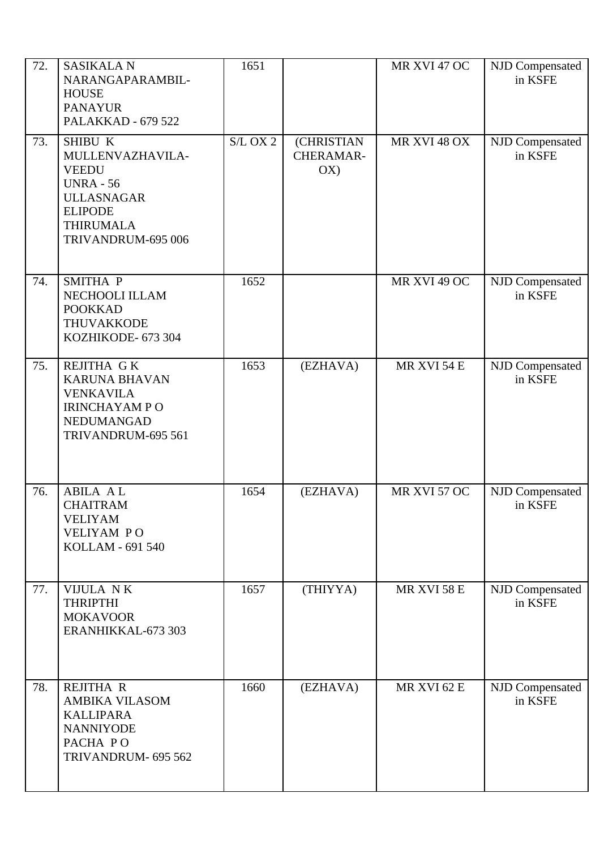| 72. | <b>SASIKALA N</b><br>NARANGAPARAMBIL-<br><b>HOUSE</b><br><b>PANAYUR</b><br><b>PALAKKAD - 679 522</b>                                             | 1651       |                                | MR XVI 47 OC | NJD Compensated<br>in KSFE |
|-----|--------------------------------------------------------------------------------------------------------------------------------------------------|------------|--------------------------------|--------------|----------------------------|
| 73. | SHIBU K<br>MULLENVAZHAVILA-<br><b>VEEDU</b><br><b>UNRA - 56</b><br><b>ULLASNAGAR</b><br><b>ELIPODE</b><br><b>THIRUMALA</b><br>TRIVANDRUM-695 006 | $S/L$ OX 2 | (CHRISTIAN<br>CHERAMAR-<br>OX) | MR XVI 48 OX | NJD Compensated<br>in KSFE |
| 74. | SMITHA P<br>NECHOOLI ILLAM<br><b>POOKKAD</b><br><b>THUVAKKODE</b><br>KOZHIKODE- 673 304                                                          | 1652       |                                | MR XVI 49 OC | NJD Compensated<br>in KSFE |
| 75. | <b>REJITHA GK</b><br><b>KARUNA BHAVAN</b><br><b>VENKAVILA</b><br><b>IRINCHAYAM PO</b><br>NEDUMANGAD<br>TRIVANDRUM-695 561                        | 1653       | (EZHAVA)                       | MR XVI 54 E  | NJD Compensated<br>in KSFE |
| 76. | <b>ABILA AL</b><br><b>CHAITRAM</b><br><b>VELIYAM</b><br><b>VELIYAM PO</b><br>KOLLAM - 691 540                                                    | 1654       | (EZHAVA)                       | MR XVI 57 OC | NJD Compensated<br>in KSFE |
| 77. | VIJULA NK<br><b>THRIPTHI</b><br><b>MOKAVOOR</b><br>ERANHIKKAL-673 303                                                                            | 1657       | (THIYYA)                       | MR XVI 58 E  | NJD Compensated<br>in KSFE |
| 78. | <b>REJITHA R</b><br><b>AMBIKA VILASOM</b><br><b>KALLIPARA</b><br><b>NANNIYODE</b><br>PACHA PO<br>TRIVANDRUM- 695 562                             | 1660       | (EZHAVA)                       | MR XVI 62 E  | NJD Compensated<br>in KSFE |